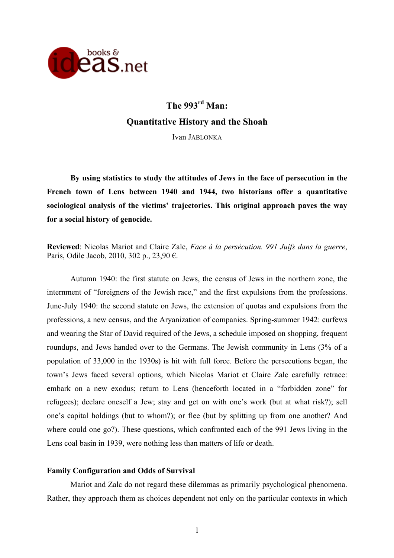

# **The 993rd Man: Quantitative History and the Shoah**

Ivan JABLONKA

**By using statistics to study the attitudes of Jews in the face of persecution in the French town of Lens between 1940 and 1944, two historians offer a quantitative sociological analysis of the victims' trajectories. This original approach paves the way for a social history of genocide.** 

**Reviewed**: Nicolas Mariot and Claire Zalc, *Face à la persécution. 991 Juifs dans la guerre*, Paris, Odile Jacob, 2010, 302 p., 23,90 €.

Autumn 1940: the first statute on Jews, the census of Jews in the northern zone, the internment of "foreigners of the Jewish race," and the first expulsions from the professions. June-July 1940: the second statute on Jews, the extension of quotas and expulsions from the professions, a new census, and the Aryanization of companies. Spring-summer 1942: curfews and wearing the Star of David required of the Jews, a schedule imposed on shopping, frequent roundups, and Jews handed over to the Germans. The Jewish community in Lens (3% of a population of 33,000 in the 1930s) is hit with full force. Before the persecutions began, the town's Jews faced several options, which Nicolas Mariot et Claire Zalc carefully retrace: embark on a new exodus; return to Lens (henceforth located in a "forbidden zone" for refugees); declare oneself a Jew; stay and get on with one's work (but at what risk?); sell one's capital holdings (but to whom?); or flee (but by splitting up from one another? And where could one go?). These questions, which confronted each of the 991 Jews living in the Lens coal basin in 1939, were nothing less than matters of life or death.

## **Family Configuration and Odds of Survival**

Mariot and Zalc do not regard these dilemmas as primarily psychological phenomena. Rather, they approach them as choices dependent not only on the particular contexts in which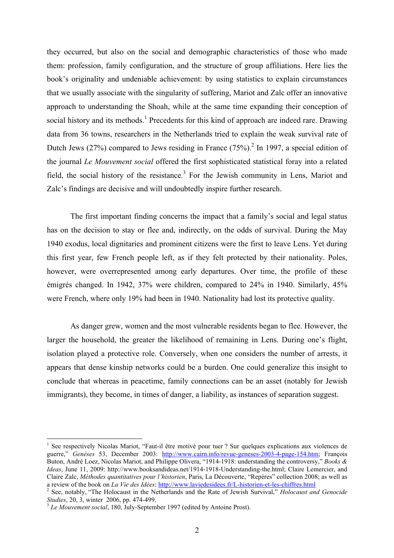they occurred, but also on the social and demographic characteristics of those who made them: profession, family configuration, and the structure of group affiliations. Here lies the book's originality and undeniable achievement: by using statistics to explain circumstances that we usually associate with the singularity of suffering, Mariot and Zalc offer an innovative approach to understanding the Shoah, while at the same time expanding their conception of social history and its methods.<sup>1</sup> Precedents for this kind of approach are indeed rare. Drawing data from 36 towns, researchers in the Netherlands tried to explain the weak survival rate of Dutch Jews (27%) compared to Jews residing in France (75%).<sup>2</sup> In 1997, a special edition of the journal *Le Mouvement social* offered the first sophisticated statistical foray into a related field, the social history of the resistance*.* 3 For the Jewish community in Lens, Mariot and Zalc's findings are decisive and will undoubtedly inspire further research.

The first important finding concerns the impact that a family's social and legal status has on the decision to stay or flee and, indirectly, on the odds of survival. During the May 1940 exodus, local dignitaries and prominent citizens were the first to leave Lens. Yet during this first year, few French people left, as if they felt protected by their nationality. Poles, however, were overrepresented among early departures. Over time, the profile of these émigrés changed. In 1942, 37% were children, compared to 24% in 1940. Similarly, 45% were French, where only 19% had been in 1940. Nationality had lost its protective quality.

As danger grew, women and the most vulnerable residents began to flee. However, the larger the household, the greater the likelihood of remaining in Lens. During one's flight, isolation played a protective role. Conversely, when one considers the number of arrests, it appears that dense kinship networks could be a burden. One could generalize this insight to conclude that whereas in peacetime, family connections can be an asset (notably for Jewish immigrants), they become, in times of danger, a liability, as instances of separation suggest.

 $\frac{1}{1}$  See respectively Nicolas Mariot, "Faut-il être motivé pour tuer ? Sur quelques explications aux violences de guerre," *Genèses* 53, December 2003: http://www.cairn.info/revue-geneses-2003-4-page-154.htm; François Buton, André Loez, Nicolas Mariot, and Philippe Olivera, "1914-1918: understanding the controversy," *Books & Ideas*, June 11, 2009: http://www.booksandideas.net/1914-1918-Understanding-the.html; Claire Lemercier, and Claire Zalc, *Méthodes quantitatives pour l'historien*, Paris, La Découverte, "Repères" collection 2008; as well as a review of the book on *La Vie des Idées*: http://www.laviedesidees.fr/L-historien-et-les-chiffres.html

<sup>&</sup>lt;sup>2</sup> See, notably, "The Holocaust in the Netherlands and the Rate of Jewish Survival," *Holocaust and Genocide Studies*, 20, 3, winter 2006, pp. 474-499.

<sup>&</sup>lt;sup>3</sup> *Le Mouvement social*, 180, July-September 1997 (edited by Antoine Prost).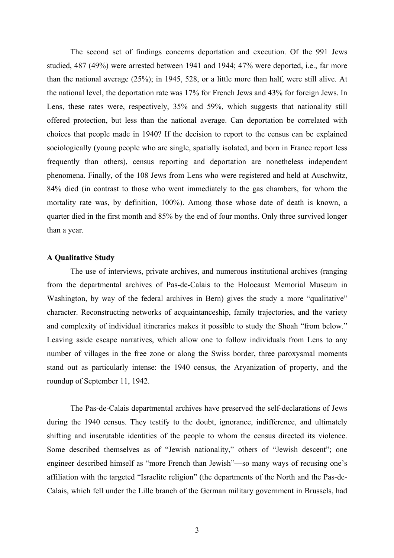The second set of findings concerns deportation and execution. Of the 991 Jews studied, 487 (49%) were arrested between 1941 and 1944; 47% were deported, i.e., far more than the national average (25%); in 1945, 528, or a little more than half, were still alive. At the national level, the deportation rate was 17% for French Jews and 43% for foreign Jews. In Lens, these rates were, respectively, 35% and 59%, which suggests that nationality still offered protection, but less than the national average. Can deportation be correlated with choices that people made in 1940? If the decision to report to the census can be explained sociologically (young people who are single, spatially isolated, and born in France report less frequently than others), census reporting and deportation are nonetheless independent phenomena. Finally, of the 108 Jews from Lens who were registered and held at Auschwitz, 84% died (in contrast to those who went immediately to the gas chambers, for whom the mortality rate was, by definition, 100%). Among those whose date of death is known, a quarter died in the first month and 85% by the end of four months. Only three survived longer than a year.

### **A Qualitative Study**

The use of interviews, private archives, and numerous institutional archives (ranging from the departmental archives of Pas-de-Calais to the Holocaust Memorial Museum in Washington, by way of the federal archives in Bern) gives the study a more "qualitative" character. Reconstructing networks of acquaintanceship, family trajectories, and the variety and complexity of individual itineraries makes it possible to study the Shoah "from below." Leaving aside escape narratives, which allow one to follow individuals from Lens to any number of villages in the free zone or along the Swiss border, three paroxysmal moments stand out as particularly intense: the 1940 census, the Aryanization of property, and the roundup of September 11, 1942.

The Pas-de-Calais departmental archives have preserved the self-declarations of Jews during the 1940 census. They testify to the doubt, ignorance, indifference, and ultimately shifting and inscrutable identities of the people to whom the census directed its violence. Some described themselves as of "Jewish nationality," others of "Jewish descent"; one engineer described himself as "more French than Jewish"—so many ways of recusing one's affiliation with the targeted "Israelite religion" (the departments of the North and the Pas-de-Calais, which fell under the Lille branch of the German military government in Brussels, had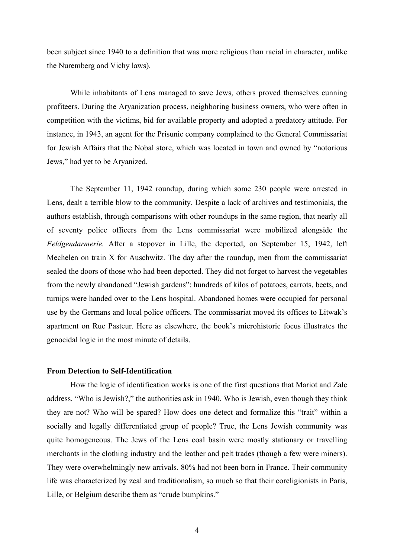been subject since 1940 to a definition that was more religious than racial in character, unlike the Nuremberg and Vichy laws).

While inhabitants of Lens managed to save Jews, others proved themselves cunning profiteers. During the Aryanization process, neighboring business owners, who were often in competition with the victims, bid for available property and adopted a predatory attitude. For instance, in 1943, an agent for the Prisunic company complained to the General Commissariat for Jewish Affairs that the Nobal store, which was located in town and owned by "notorious Jews," had yet to be Aryanized.

The September 11, 1942 roundup, during which some 230 people were arrested in Lens, dealt a terrible blow to the community. Despite a lack of archives and testimonials, the authors establish, through comparisons with other roundups in the same region, that nearly all of seventy police officers from the Lens commissariat were mobilized alongside the *Feldgendarmerie.* After a stopover in Lille, the deported, on September 15, 1942, left Mechelen on train X for Auschwitz. The day after the roundup, men from the commissariat sealed the doors of those who had been deported. They did not forget to harvest the vegetables from the newly abandoned "Jewish gardens": hundreds of kilos of potatoes, carrots, beets, and turnips were handed over to the Lens hospital. Abandoned homes were occupied for personal use by the Germans and local police officers. The commissariat moved its offices to Litwak's apartment on Rue Pasteur. Here as elsewhere, the book's microhistoric focus illustrates the genocidal logic in the most minute of details.

#### **From Detection to Self-Identification**

How the logic of identification works is one of the first questions that Mariot and Zalc address. "Who is Jewish?," the authorities ask in 1940. Who is Jewish, even though they think they are not? Who will be spared? How does one detect and formalize this "trait" within a socially and legally differentiated group of people? True, the Lens Jewish community was quite homogeneous. The Jews of the Lens coal basin were mostly stationary or travelling merchants in the clothing industry and the leather and pelt trades (though a few were miners). They were overwhelmingly new arrivals. 80% had not been born in France. Their community life was characterized by zeal and traditionalism, so much so that their coreligionists in Paris, Lille, or Belgium describe them as "crude bumpkins."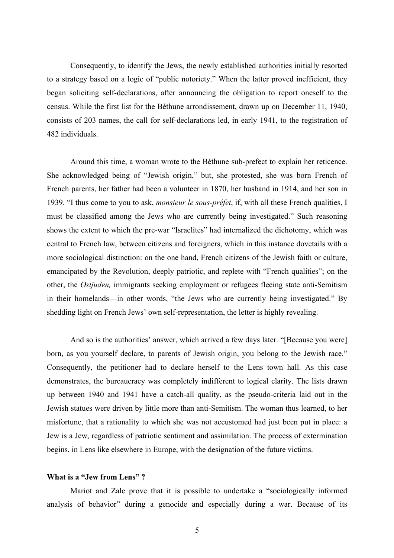Consequently, to identify the Jews, the newly established authorities initially resorted to a strategy based on a logic of "public notoriety." When the latter proved inefficient, they began soliciting self-declarations, after announcing the obligation to report oneself to the census. While the first list for the Béthune arrondissement, drawn up on December 11, 1940, consists of 203 names, the call for self-declarations led, in early 1941, to the registration of 482 individuals.

Around this time, a woman wrote to the Béthune sub-prefect to explain her reticence. She acknowledged being of "Jewish origin," but, she protested, she was born French of French parents, her father had been a volunteer in 1870, her husband in 1914, and her son in 1939. "I thus come to you to ask, *monsieur le sous-préfet*, if, with all these French qualities, I must be classified among the Jews who are currently being investigated." Such reasoning shows the extent to which the pre-war "Israelites" had internalized the dichotomy, which was central to French law, between citizens and foreigners, which in this instance dovetails with a more sociological distinction: on the one hand, French citizens of the Jewish faith or culture, emancipated by the Revolution, deeply patriotic, and replete with "French qualities"; on the other, the *Ostjuden,* immigrants seeking employment or refugees fleeing state anti-Semitism in their homelands—in other words, "the Jews who are currently being investigated." By shedding light on French Jews' own self-representation, the letter is highly revealing.

And so is the authorities' answer, which arrived a few days later. "[Because you were] born, as you yourself declare, to parents of Jewish origin, you belong to the Jewish race." Consequently, the petitioner had to declare herself to the Lens town hall. As this case demonstrates, the bureaucracy was completely indifferent to logical clarity. The lists drawn up between 1940 and 1941 have a catch-all quality, as the pseudo-criteria laid out in the Jewish statues were driven by little more than anti-Semitism. The woman thus learned, to her misfortune, that a rationality to which she was not accustomed had just been put in place: a Jew is a Jew, regardless of patriotic sentiment and assimilation. The process of extermination begins, in Lens like elsewhere in Europe, with the designation of the future victims.

### **What is a "Jew from Lens" ?**

Mariot and Zalc prove that it is possible to undertake a "sociologically informed analysis of behavior" during a genocide and especially during a war. Because of its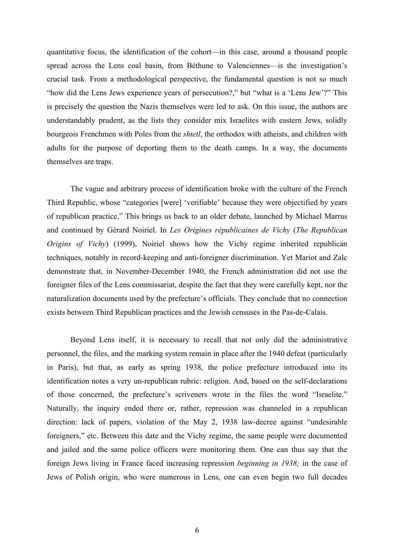quantitative focus, the identification of the cohort—in this case, around a thousand people spread across the Lens coal basin, from Béthune to Valenciennes—is the investigation's crucial task. From a methodological perspective, the fundamental question is not so much "how did the Lens Jews experience years of persecution?," but "what is a 'Lens Jew'?" This is precisely the question the Nazis themselves were led to ask. On this issue, the authors are understandably prudent, as the lists they consider mix Israelites with eastern Jews, solidly bourgeois Frenchmen with Poles from the *shtetl*, the orthodox with atheists, and children with adults for the purpose of deporting them to the death camps. In a way, the documents themselves are traps.

The vague and arbitrary process of identification broke with the culture of the French Third Republic, whose "categories [were] 'verifiable' because they were objectified by years of republican practice." This brings us back to an older debate, launched by Michael Marrus and continued by Gérard Noiriel. In *Les Origines républicaines de Vichy* (*The Republican Origins of Vichy*) (1999), Noiriel shows how the Vichy regime inherited republican techniques, notably in record-keeping and anti-foreigner discrimination. Yet Mariot and Zalc demonstrate that, in November-December 1940, the French administration did not use the foreigner files of the Lens commissariat, despite the fact that they were carefully kept, nor the naturalization documents used by the prefecture's officials. They conclude that no connection exists between Third Republican practices and the Jewish censuses in the Pas-de-Calais.

Beyond Lens itself, it is necessary to recall that not only did the administrative personnel, the files, and the marking system remain in place after the 1940 defeat (particularly in Paris), but that, as early as spring 1938, the police prefecture introduced into its identification notes a very un-republican rubric: religion. And, based on the self-declarations of those concerned, the prefecture's scriveners wrote in the files the word "Israelite." Naturally, the inquiry ended there or, rather, repression was channeled in a republican direction: lack of papers, violation of the May 2, 1938 law-decree against "undesirable foreigners," etc. Between this date and the Vichy regime, the same people were documented and jailed and the same police officers were monitoring them. One can thus say that the foreign Jews living in France faced increasing repression *beginning in 1938;* in the case of Jews of Polish origin, who were numerous in Lens, one can even begin two full decades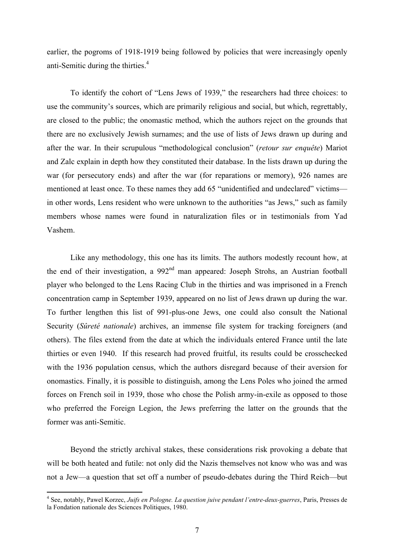earlier, the pogroms of 1918-1919 being followed by policies that were increasingly openly anti-Semitic during the thirties.<sup>4</sup>

To identify the cohort of "Lens Jews of 1939," the researchers had three choices: to use the community's sources, which are primarily religious and social, but which, regrettably, are closed to the public; the onomastic method, which the authors reject on the grounds that there are no exclusively Jewish surnames; and the use of lists of Jews drawn up during and after the war. In their scrupulous "methodological conclusion" (*retour sur enquête*) Mariot and Zalc explain in depth how they constituted their database. In the lists drawn up during the war (for persecutory ends) and after the war (for reparations or memory), 926 names are mentioned at least once. To these names they add 65 "unidentified and undeclared" victims in other words, Lens resident who were unknown to the authorities "as Jews," such as family members whose names were found in naturalization files or in testimonials from Yad Vashem.

Like any methodology, this one has its limits. The authors modestly recount how, at the end of their investigation, a 992<sup>nd</sup> man appeared: Joseph Strohs, an Austrian football player who belonged to the Lens Racing Club in the thirties and was imprisoned in a French concentration camp in September 1939, appeared on no list of Jews drawn up during the war. To further lengthen this list of 991-plus-one Jews, one could also consult the National Security (*Sûreté nationale*) archives, an immense file system for tracking foreigners (and others). The files extend from the date at which the individuals entered France until the late thirties or even 1940. If this research had proved fruitful, its results could be crosschecked with the 1936 population census, which the authors disregard because of their aversion for onomastics. Finally, it is possible to distinguish, among the Lens Poles who joined the armed forces on French soil in 1939, those who chose the Polish army-in-exile as opposed to those who preferred the Foreign Legion, the Jews preferring the latter on the grounds that the former was anti-Semitic.

Beyond the strictly archival stakes, these considerations risk provoking a debate that will be both heated and futile: not only did the Nazis themselves not know who was and was not a Jew—a question that set off a number of pseudo-debates during the Third Reich—but

 $\frac{1}{4}$  See, notably, Pawel Korzec, *Juifs en Pologne. La question juive pendant l'entre-deux-guerres*, Paris, Presses de la Fondation nationale des Sciences Politiques, 1980.